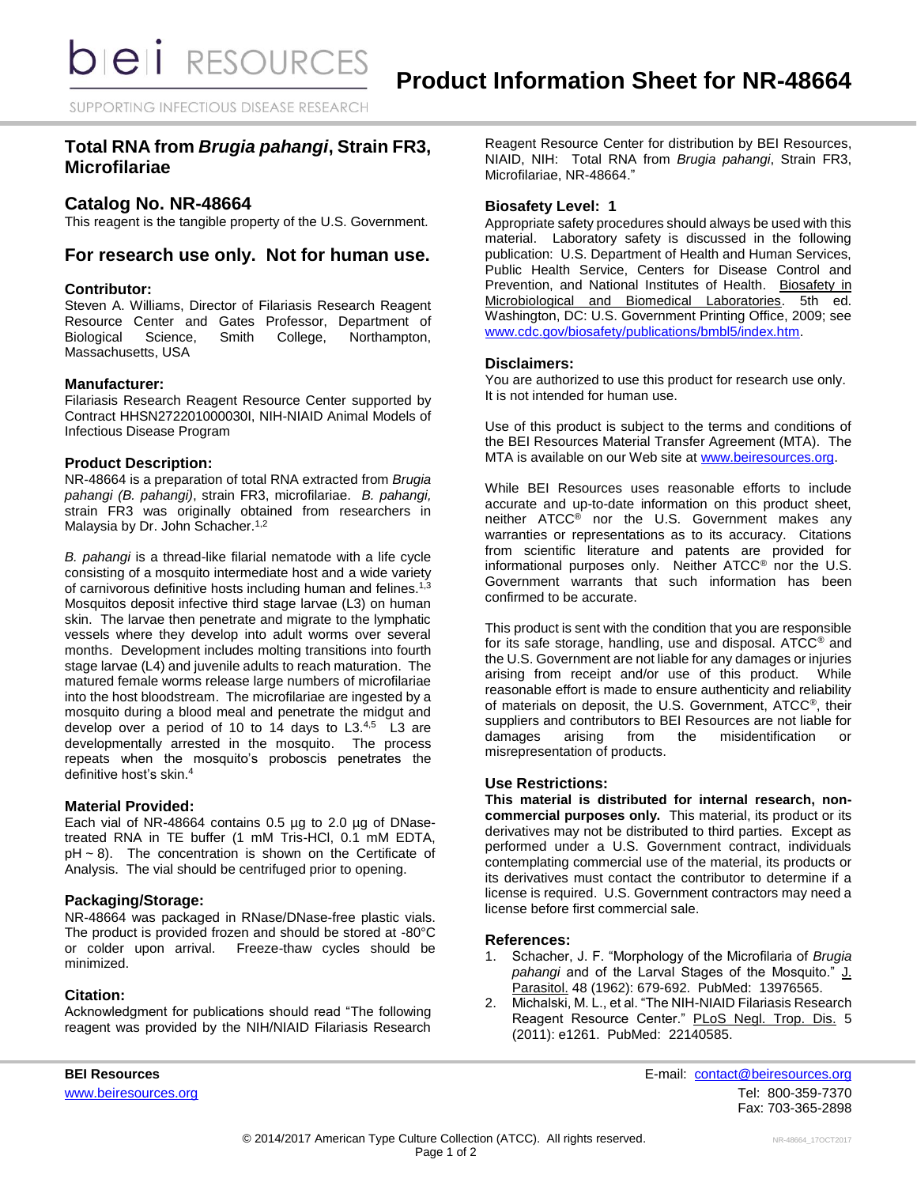SUPPORTING INFECTIOUS DISEASE RESEARCH

# **Total RNA from** *Brugia pahangi***, Strain FR3, Microfilariae**

# **Catalog No. NR-48664**

This reagent is the tangible property of the U.S. Government.

# **For research use only. Not for human use.**

### **Contributor:**

Steven A. Williams, Director of Filariasis Research Reagent Resource Center and Gates Professor, Department of Biological Science, Smith College, Northampton, Massachusetts, USA

### **Manufacturer:**

Filariasis Research Reagent Resource Center supported by Contract HHSN272201000030I, NIH-NIAID Animal Models of Infectious Disease Program

### **Product Description:**

NR-48664 is a preparation of total RNA extracted from *Brugia pahangi (B. pahangi)*, strain FR3, microfilariae. *B. pahangi,* strain FR3 was originally obtained from researchers in Malaysia by Dr. John Schacher.<sup>1,2</sup>

*B. pahangi* is a thread-like filarial nematode with a life cycle consisting of a mosquito intermediate host and a wide variety of carnivorous definitive hosts including human and felines.<sup>1,3</sup> Mosquitos deposit infective third stage larvae (L3) on human skin. The larvae then penetrate and migrate to the lymphatic vessels where they develop into adult worms over several months. Development includes molting transitions into fourth stage larvae (L4) and juvenile adults to reach maturation. The matured female worms release large numbers of microfilariae into the host bloodstream. The microfilariae are ingested by a mosquito during a blood meal and penetrate the midgut and develop over a period of 10 to 14 days to  $L3^{4,5}$  L3 are developmentally arrested in the mosquito. The process repeats when the mosquito's proboscis penetrates the definitive host's skin.<sup>4</sup>

#### **Material Provided:**

Each vial of NR-48664 contains 0.5 µg to 2.0 µg of DNasetreated RNA in TE buffer (1 mM Tris-HCl, 0.1 mM EDTA,  $pH \sim 8$ ). The concentration is shown on the Certificate of Analysis. The vial should be centrifuged prior to opening.

## **Packaging/Storage:**

NR-48664 was packaged in RNase/DNase-free plastic vials. The product is provided frozen and should be stored at -80°C or colder upon arrival. Freeze-thaw cycles should be minimized.

#### **Citation:**

Acknowledgment for publications should read "The following reagent was provided by the NIH/NIAID Filariasis Research Reagent Resource Center for distribution by BEI Resources, NIAID, NIH: Total RNA from *Brugia pahangi*, Strain FR3, Microfilariae, NR-48664."

## **Biosafety Level: 1**

Appropriate safety procedures should always be used with this material. Laboratory safety is discussed in the following publication: U.S. Department of Health and Human Services, Public Health Service, Centers for Disease Control and Prevention, and National Institutes of Health. Biosafety in Microbiological and Biomedical Laboratories. 5th ed. Washington, DC: U.S. Government Printing Office, 2009; see [www.cdc.gov/biosafety/publications/bmbl5/index.htm.](http://www.cdc.gov/biosafety/publications/bmbl5/index.htm)

### **Disclaimers:**

You are authorized to use this product for research use only. It is not intended for human use.

Use of this product is subject to the terms and conditions of the BEI Resources Material Transfer Agreement (MTA). The MTA is available on our Web site at [www.beiresources.org.](http://www.beiresources.org/)

While BEI Resources uses reasonable efforts to include accurate and up-to-date information on this product sheet, neither ATCC® nor the U.S. Government makes any warranties or representations as to its accuracy. Citations from scientific literature and patents are provided for informational purposes only. Neither ATCC® nor the U.S. Government warrants that such information has been confirmed to be accurate.

This product is sent with the condition that you are responsible for its safe storage, handling, use and disposal. ATCC® and the U.S. Government are not liable for any damages or injuries arising from receipt and/or use of this product. While reasonable effort is made to ensure authenticity and reliability of materials on deposit, the U.S. Government, ATCC®, their suppliers and contributors to BEI Resources are not liable for damages arising from the misidentification or misrepresentation of products.

## **Use Restrictions:**

**This material is distributed for internal research, noncommercial purposes only.** This material, its product or its derivatives may not be distributed to third parties. Except as performed under a U.S. Government contract, individuals contemplating commercial use of the material, its products or its derivatives must contact the contributor to determine if a license is required. U.S. Government contractors may need a license before first commercial sale.

#### **References:**

- 1. Schacher, J. F. "Morphology of the Microfilaria of *Brugia pahangi* and of the Larval Stages of the Mosquito." J. Parasitol. 48 (1962): 679-692. PubMed: 13976565.
- 2. Michalski, M. L., et al. "The NIH-NIAID Filariasis Research Reagent Resource Center." PLoS Negl. Trop. Dis. 5 (2011): e1261. PubMed: 22140585.

**BEI Resources** E-mail: [contact@beiresources.org](mailto:contact@beiresources.org) [www.beiresources.org](http://www.beiresources.org/) **Tel: 800-359-7370** Fax: 703-365-2898